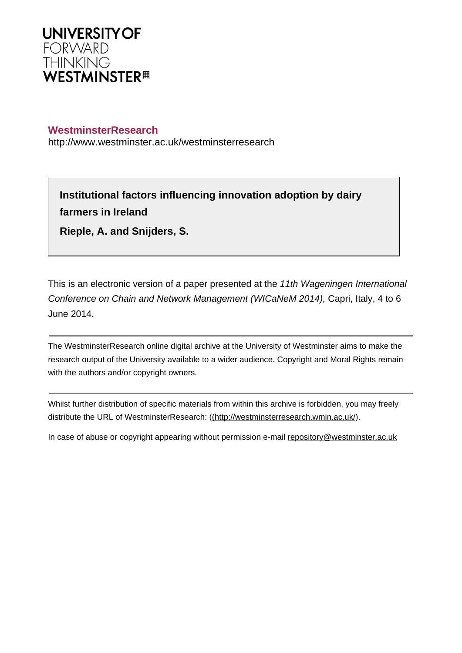

# **WestminsterResearch**

http://www.westminster.ac.uk/westminsterresearch

**Institutional factors influencing innovation adoption by dairy farmers in Ireland**

**Rieple, A. and Snijders, S.**

This is an electronic version of a paper presented at the 11th Wageningen International Conference on Chain and Network Management (WICaNeM 2014), Capri, Italy, 4 to 6 June 2014.

The WestminsterResearch online digital archive at the University of Westminster aims to make the research output of the University available to a wider audience. Copyright and Moral Rights remain with the authors and/or copyright owners.

Whilst further distribution of specific materials from within this archive is forbidden, you may freely distribute the URL of WestminsterResearch: [\(\(http://westminsterresearch.wmin.ac.uk/](http://westminsterresearch.wmin.ac.uk/)).

In case of abuse or copyright appearing without permission e-mail <repository@westminster.ac.uk>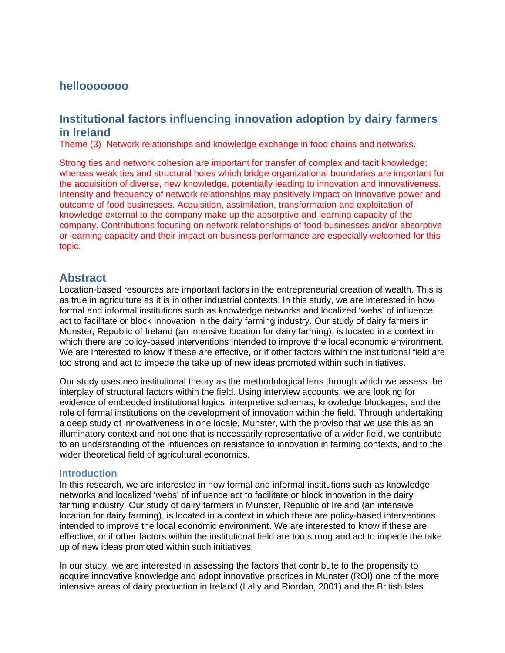# **hellooooooo**

# **Institutional factors influencing innovation adoption by dairy farmers in Ireland**

Theme (3) Network relationships and knowledge exchange in food chains and networks.

Strong ties and network cohesion are important for transfer of complex and tacit knowledge; whereas weak ties and structural holes which bridge organizational boundaries are important for the acquisition of diverse, new knowledge, potentially leading to innovation and innovativeness. Intensity and frequency of network relationships may positively impact on innovative power and outcome of food businesses. Acquisition, assimilation, transformation and exploitation of knowledge external to the company make up the absorptive and learning capacity of the company. Contributions focusing on network relationships of food businesses and/or absorptive or learning capacity and their impact on business performance are especially welcomed for this topic.

# **Abstract**

Location-based resources are important factors in the entrepreneurial creation of wealth. This is as true in agriculture as it is in other industrial contexts. In this study, we are interested in how formal and informal institutions such as knowledge networks and localized 'webs' of influence act to facilitate or block innovation in the dairy farming industry. Our study of dairy farmers in Munster, Republic of Ireland (an intensive location for dairy farming), is located in a context in which there are policy-based interventions intended to improve the local economic environment. We are interested to know if these are effective, or if other factors within the institutional field are too strong and act to impede the take up of new ideas promoted within such initiatives.

Our study uses neo institutional theory as the methodological lens through which we assess the interplay of structural factors within the field. Using interview accounts, we are looking for evidence of embedded institutional logics, interpretive schemas, knowledge blockages, and the role of formal institutions on the development of innovation within the field. Through undertaking a deep study of innovativeness in one locale, Munster, with the proviso that we use this as an illuminatory context and not one that is necessarily representative of a wider field, we contribute to an understanding of the influences on resistance to innovation in farming contexts, and to the wider theoretical field of agricultural economics.

### **Introduction**

In this research, we are interested in how formal and informal institutions such as knowledge networks and localized 'webs' of influence act to facilitate or block innovation in the dairy farming industry. Our study of dairy farmers in Munster, Republic of Ireland (an intensive location for dairy farming), is located in a context in which there are policy-based interventions intended to improve the local economic environment. We are interested to know if these are effective, or if other factors within the institutional field are too strong and act to impede the take up of new ideas promoted within such initiatives.

In our study, we are interested in assessing the factors that contribute to the propensity to acquire innovative knowledge and adopt innovative practices in Munster (ROI) one of the more intensive areas of dairy production in Ireland (Lally and Riordan, 2001) and the British Isles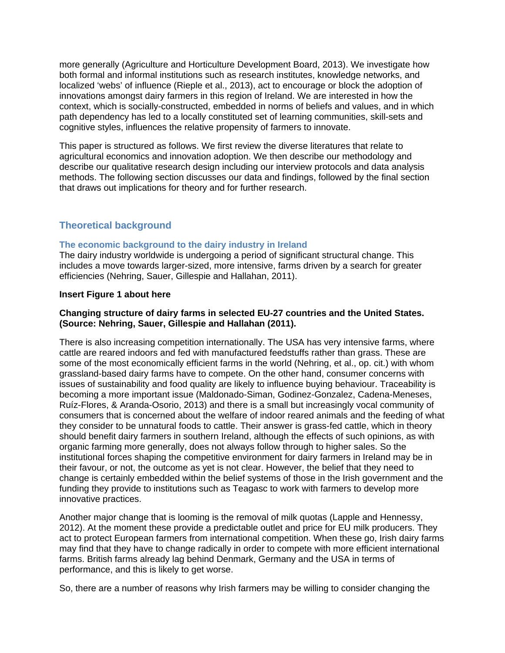more generally (Agriculture and Horticulture Development Board, 2013). We investigate how both formal and informal institutions such as research institutes, knowledge networks, and localized 'webs' of influence (Rieple et al., 2013), act to encourage or block the adoption of innovations amongst dairy farmers in this region of Ireland. We are interested in how the context, which is socially-constructed, embedded in norms of beliefs and values, and in which path dependency has led to a locally constituted set of learning communities, skill-sets and cognitive styles, influences the relative propensity of farmers to innovate.

This paper is structured as follows. We first review the diverse literatures that relate to agricultural economics and innovation adoption. We then describe our methodology and describe our qualitative research design including our interview protocols and data analysis methods. The following section discusses our data and findings, followed by the final section that draws out implications for theory and for further research.

# **Theoretical background**

## **The economic background to the dairy industry in Ireland**

The dairy industry worldwide is undergoing a period of significant structural change. This includes a move towards larger-sized, more intensive, farms driven by a search for greater efficiencies (Nehring, Sauer, Gillespie and Hallahan, 2011).

## **Insert Figure 1 about here**

## **Changing structure of dairy farms in selected EU-27 countries and the United States. (Source: Nehring, Sauer, Gillespie and Hallahan (2011).**

There is also increasing competition internationally. The USA has very intensive farms, where cattle are reared indoors and fed with manufactured feedstuffs rather than grass. These are some of the most economically efficient farms in the world (Nehring, et al., op. cit.) with whom grassland-based dairy farms have to compete. On the other hand, consumer concerns with issues of sustainability and food quality are likely to influence buying behaviour. Traceability is becoming a more important issue (Maldonado-Siman, Godinez-Gonzalez, Cadena-Meneses, Ruíz-Flores, & Aranda-Osorio, 2013) and there is a small but increasingly vocal community of consumers that is concerned about the welfare of indoor reared animals and the feeding of what they consider to be unnatural foods to cattle. Their answer is grass-fed cattle, which in theory should benefit dairy farmers in southern Ireland, although the effects of such opinions, as with organic farming more generally, does not always follow through to higher sales. So the institutional forces shaping the competitive environment for dairy farmers in Ireland may be in their favour, or not, the outcome as yet is not clear. However, the belief that they need to change is certainly embedded within the belief systems of those in the Irish government and the funding they provide to institutions such as Teagasc to work with farmers to develop more innovative practices.

Another major change that is looming is the removal of milk quotas (Lapple and Hennessy, 2012). At the moment these provide a predictable outlet and price for EU milk producers. They act to protect European farmers from international competition. When these go, Irish dairy farms may find that they have to change radically in order to compete with more efficient international farms. British farms already lag behind Denmark, Germany and the USA in terms of performance, and this is likely to get worse.

So, there are a number of reasons why Irish farmers may be willing to consider changing the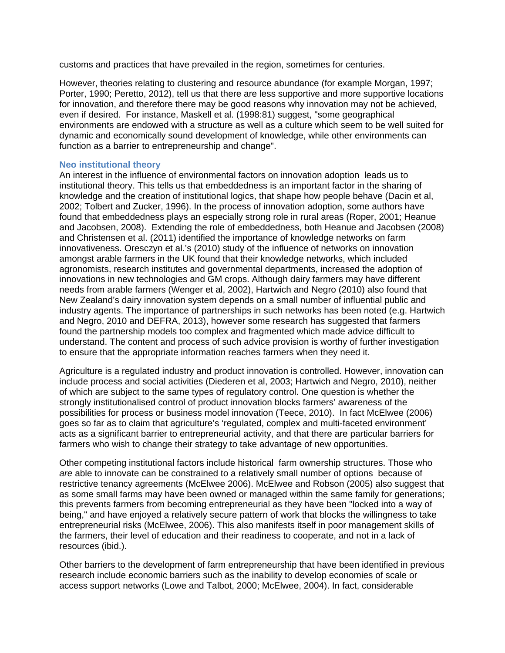customs and practices that have prevailed in the region, sometimes for centuries.

However, theories relating to clustering and resource abundance (for example Morgan, 1997; Porter, 1990; Peretto, 2012), tell us that there are less supportive and more supportive locations for innovation, and therefore there may be good reasons why innovation may not be achieved, even if desired. For instance, Maskell et al. (1998:81) suggest, "some geographical environments are endowed with a structure as well as a culture which seem to be well suited for dynamic and economically sound development of knowledge, while other environments can function as a barrier to entrepreneurship and change".

### **Neo institutional theory**

An interest in the influence of environmental factors on innovation adoption leads us to institutional theory. This tells us that embeddedness is an important factor in the sharing of knowledge and the creation of institutional logics, that shape how people behave (Dacin et al, 2002; Tolbert and Zucker, 1996). In the process of innovation adoption, some authors have found that embeddedness plays an especially strong role in rural areas (Roper, 2001; Heanue and Jacobsen, 2008). Extending the role of embeddedness, both Heanue and Jacobsen (2008) and Christensen et al. (2011) identified the importance of knowledge networks on farm innovativeness. Oresczyn et al.'s (2010) study of the influence of networks on innovation amongst arable farmers in the UK found that their knowledge networks, which included agronomists, research institutes and governmental departments, increased the adoption of innovations in new technologies and GM crops. Although dairy farmers may have different needs from arable farmers (Wenger et al, 2002), Hartwich and Negro (2010) also found that New Zealand's dairy innovation system depends on a small number of influential public and industry agents. The importance of partnerships in such networks has been noted (e.g. Hartwich and Negro, 2010 and DEFRA, 2013), however some research has suggested that farmers found the partnership models too complex and fragmented which made advice difficult to understand. The content and process of such advice provision is worthy of further investigation to ensure that the appropriate information reaches farmers when they need it.

Agriculture is a regulated industry and product innovation is controlled. However, innovation can include process and social activities (Diederen et al, 2003; Hartwich and Negro, 2010), neither of which are subject to the same types of regulatory control. One question is whether the strongly institutionalised control of product innovation blocks farmers' awareness of the possibilities for process or business model innovation (Teece, 2010). In fact McElwee (2006) goes so far as to claim that agriculture's 'regulated, complex and multi-faceted environment' acts as a significant barrier to entrepreneurial activity, and that there are particular barriers for farmers who wish to change their strategy to take advantage of new opportunities.

Other competing institutional factors include historical farm ownership structures. Those who are able to innovate can be constrained to a relatively small number of options because of restrictive tenancy agreements (McElwee 2006). McElwee and Robson (2005) also suggest that as some small farms may have been owned or managed within the same family for generations; this prevents farmers from becoming entrepreneurial as they have been "locked into a way of being," and have enjoyed a relatively secure pattern of work that blocks the willingness to take entrepreneurial risks (McElwee, 2006). This also manifests itself in poor management skills of the farmers, their level of education and their readiness to cooperate, and not in a lack of resources (ibid.).

Other barriers to the development of farm entrepreneurship that have been identified in previous research include economic barriers such as the inability to develop economies of scale or access support networks (Lowe and Talbot, 2000; McElwee, 2004). In fact, considerable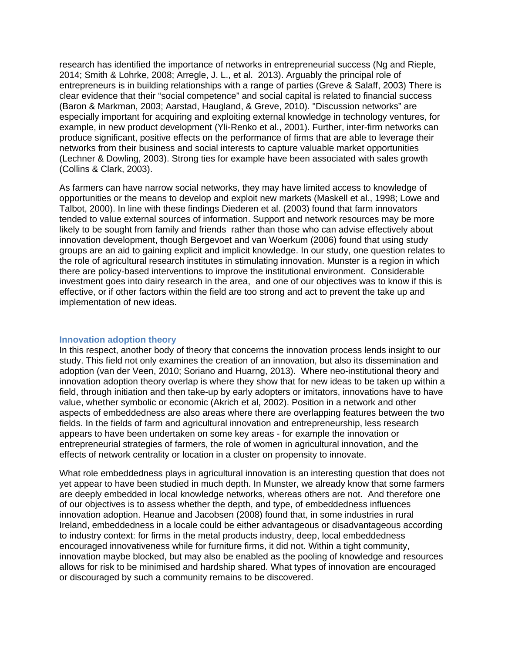research has identified the importance of networks in entrepreneurial success (Ng and Rieple, 2014; Smith & Lohrke, 2008; Arregle, J. L., et al. 2013). Arguably the principal role of entrepreneurs is in building relationships with a range of parties (Greve & Salaff, 2003) There is clear evidence that their "social competence" and social capital is related to financial success (Baron & Markman, 2003; Aarstad, Haugland, & Greve, 2010). "Discussion networks" are especially important for acquiring and exploiting external knowledge in technology ventures, for example, in new product development (Yli-Renko et al., 2001). Further, inter-firm networks can produce significant, positive effects on the performance of firms that are able to leverage their networks from their business and social interests to capture valuable market opportunities (Lechner & Dowling, 2003). Strong ties for example have been associated with sales growth (Collins & Clark, 2003).

As farmers can have narrow social networks, they may have limited access to knowledge of opportunities or the means to develop and exploit new markets (Maskell et al., 1998; Lowe and Talbot, 2000). In line with these findings Diederen et al. (2003) found that farm innovators tended to value external sources of information. Support and network resources may be more likely to be sought from family and friends rather than those who can advise effectively about innovation development, though Bergevoet and van Woerkum (2006) found that using study groups are an aid to gaining explicit and implicit knowledge. In our study, one question relates to the role of agricultural research institutes in stimulating innovation. Munster is a region in which there are policy-based interventions to improve the institutional environment. Considerable investment goes into dairy research in the area, and one of our objectives was to know if this is effective, or if other factors within the field are too strong and act to prevent the take up and implementation of new ideas.

### **Innovation adoption theory**

In this respect, another body of theory that concerns the innovation process lends insight to our study. This field not only examines the creation of an innovation, but also its dissemination and adoption (van der Veen, 2010; Soriano and Huarng, 2013). Where neo-institutional theory and innovation adoption theory overlap is where they show that for new ideas to be taken up within a field, through initiation and then take-up by early adopters or imitators, innovations have to have value, whether symbolic or economic (Akrich et al, 2002). Position in a network and other aspects of embeddedness are also areas where there are overlapping features between the two fields. In the fields of farm and agricultural innovation and entrepreneurship, less research appears to have been undertaken on some key areas - for example the innovation or entrepreneurial strategies of farmers, the role of women in agricultural innovation, and the effects of network centrality or location in a cluster on propensity to innovate.

What role embeddedness plays in agricultural innovation is an interesting question that does not yet appear to have been studied in much depth. In Munster, we already know that some farmers are deeply embedded in local knowledge networks, whereas others are not. And therefore one of our objectives is to assess whether the depth, and type, of embeddedness influences innovation adoption. Heanue and Jacobsen (2008) found that, in some industries in rural Ireland, embeddedness in a locale could be either advantageous or disadvantageous according to industry context: for firms in the metal products industry, deep, local embeddedness encouraged innovativeness while for furniture firms, it did not. Within a tight community, innovation maybe blocked, but may also be enabled as the pooling of knowledge and resources allows for risk to be minimised and hardship shared. What types of innovation are encouraged or discouraged by such a community remains to be discovered.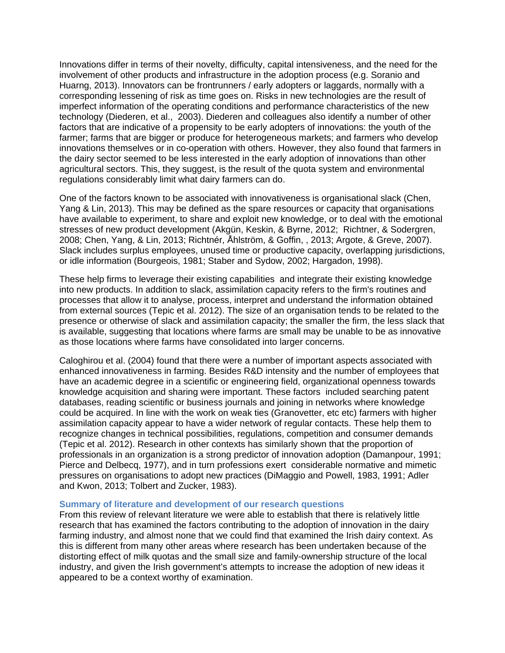Innovations differ in terms of their novelty, difficulty, capital intensiveness, and the need for the involvement of other products and infrastructure in the adoption process (e.g. Soranio and Huarng, 2013). Innovators can be frontrunners / early adopters or laggards, normally with a corresponding lessening of risk as time goes on. Risks in new technologies are the result of imperfect information of the operating conditions and performance characteristics of the new technology (Diederen, et al., 2003). Diederen and colleagues also identify a number of other factors that are indicative of a propensity to be early adopters of innovations: the youth of the farmer; farms that are bigger or produce for heterogeneous markets; and farmers who develop innovations themselves or in co-operation with others. However, they also found that farmers in the dairy sector seemed to be less interested in the early adoption of innovations than other agricultural sectors. This, they suggest, is the result of the quota system and environmental regulations considerably limit what dairy farmers can do.

One of the factors known to be associated with innovativeness is organisational slack (Chen, Yang & Lin, 2013). This may be defined as the spare resources or capacity that organisations have available to experiment, to share and exploit new knowledge, or to deal with the emotional stresses of new product development (Akgün, Keskin, & Byrne, 2012; Richtner, & Sodergren, 2008; Chen, Yang, & Lin, 2013; Richtnér, Åhlström, & Goffin, , 2013; Argote, & Greve, 2007). Slack includes surplus employees, unused time or productive capacity, overlapping jurisdictions, or idle information (Bourgeois, 1981; Staber and Sydow, 2002; Hargadon, 1998).

These help firms to leverage their existing capabilities and integrate their existing knowledge into new products. In addition to slack, assimilation capacity refers to the firm's routines and processes that allow it to analyse, process, interpret and understand the information obtained from external sources (Tepic et al. 2012). The size of an organisation tends to be related to the presence or otherwise of slack and assimilation capacity; the smaller the firm, the less slack that is available, suggesting that locations where farms are small may be unable to be as innovative as those locations where farms have consolidated into larger concerns.

Caloghirou et al. (2004) found that there were a number of important aspects associated with enhanced innovativeness in farming. Besides R&D intensity and the number of employees that have an academic degree in a scientific or engineering field, organizational openness towards knowledge acquisition and sharing were important. These factors included searching patent databases, reading scientific or business journals and joining in networks where knowledge could be acquired. In line with the work on weak ties (Granovetter, etc etc) farmers with higher assimilation capacity appear to have a wider network of regular contacts. These help them to recognize changes in technical possibilities, regulations, competition and consumer demands (Tepic et al. 2012). Research in other contexts has similarly shown that the proportion of professionals in an organization is a strong predictor of innovation adoption (Damanpour, 1991; Pierce and Delbecq, 1977), and in turn professions exert considerable normative and mimetic pressures on organisations to adopt new practices (DiMaggio and Powell, 1983, 1991; Adler and Kwon, 2013; Tolbert and Zucker, 1983).

#### **Summary of literature and development of our research questions**

From this review of relevant literature we were able to establish that there is relatively little research that has examined the factors contributing to the adoption of innovation in the dairy farming industry, and almost none that we could find that examined the Irish dairy context. As this is different from many other areas where research has been undertaken because of the distorting effect of milk quotas and the small size and family-ownership structure of the local industry, and given the Irish government's attempts to increase the adoption of new ideas it appeared to be a context worthy of examination.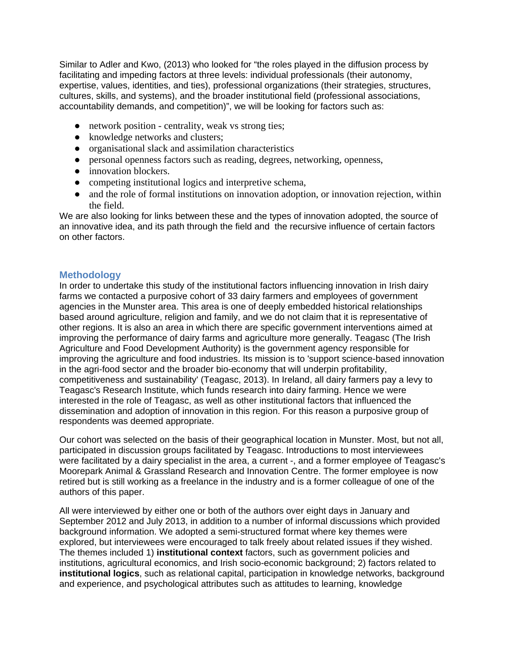Similar to Adler and Kwo, (2013) who looked for "the roles played in the diffusion process by facilitating and impeding factors at three levels: individual professionals (their autonomy, expertise, values, identities, and ties), professional organizations (their strategies, structures, cultures, skills, and systems), and the broader institutional field (professional associations, accountability demands, and competition)", we will be looking for factors such as:

- network position centrality, weak vs strong ties;
- knowledge networks and clusters:
- organisational slack and assimilation characteristics
- personal openness factors such as reading, degrees, networking, openness,
- innovation blockers.
- competing institutional logics and interpretive schema,
- and the role of formal institutions on innovation adoption, or innovation rejection, within the field.

We are also looking for links between these and the types of innovation adopted, the source of an innovative idea, and its path through the field and the recursive influence of certain factors on other factors.

## **Methodology**

In order to undertake this study of the institutional factors influencing innovation in Irish dairy farms we contacted a purposive cohort of 33 dairy farmers and employees of government agencies in the Munster area. This area is one of deeply embedded historical relationships based around agriculture, religion and family, and we do not claim that it is representative of other regions. It is also an area in which there are specific government interventions aimed at improving the performance of dairy farms and agriculture more generally. Teagasc (The Irish Agriculture and Food Development Authority) is the government agency responsible for improving the agriculture and food industries. Its mission is to 'support science-based innovation in the agri-food sector and the broader bio-economy that will underpin profitability, competitiveness and sustainability' (Teagasc, 2013). In Ireland, all dairy farmers pay a levy to Teagasc's Research Institute, which funds research into dairy farming. Hence we were interested in the role of Teagasc, as well as other institutional factors that influenced the dissemination and adoption of innovation in this region. For this reason a purposive group of respondents was deemed appropriate.

Our cohort was selected on the basis of their geographical location in Munster. Most, but not all, participated in discussion groups facilitated by Teagasc. Introductions to most interviewees were facilitated by a dairy specialist in the area, a current -, and a former employee of Teagasc's Moorepark Animal & Grassland Research and Innovation Centre. The former employee is now retired but is still working as a freelance in the industry and is a former colleague of one of the authors of this paper.

All were interviewed by either one or both of the authors over eight days in January and September 2012 and July 2013, in addition to a number of informal discussions which provided background information. We adopted a semi-structured format where key themes were explored, but interviewees were encouraged to talk freely about related issues if they wished. The themes included 1) **institutional context** factors, such as government policies and institutions, agricultural economics, and Irish socio-economic background; 2) factors related to **institutional logics**, such as relational capital, participation in knowledge networks, background and experience, and psychological attributes such as attitudes to learning, knowledge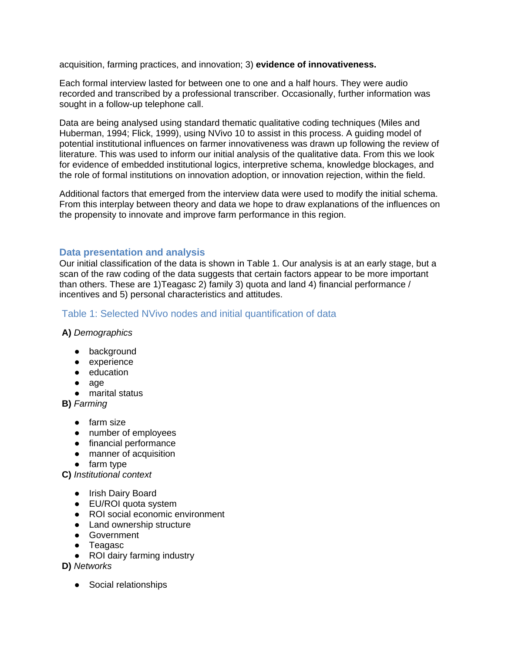acquisition, farming practices, and innovation; 3) **evidence of innovativeness.**

Each formal interview lasted for between one to one and a half hours. They were audio recorded and transcribed by a professional transcriber. Occasionally, further information was sought in a follow-up telephone call.

Data are being analysed using standard thematic qualitative coding techniques (Miles and Huberman, 1994; Flick, 1999), using NVivo 10 to assist in this process. A guiding model of potential institutional influences on farmer innovativeness was drawn up following the review of literature. This was used to inform our initial analysis of the qualitative data. From this we look for evidence of embedded institutional logics, interpretive schema, knowledge blockages, and the role of formal institutions on innovation adoption, or innovation rejection, within the field.

Additional factors that emerged from the interview data were used to modify the initial schema. From this interplay between theory and data we hope to draw explanations of the influences on the propensity to innovate and improve farm performance in this region.

## **Data presentation and analysis**

Our initial classification of the data is shown in Table 1. Our analysis is at an early stage, but a scan of the raw coding of the data suggests that certain factors appear to be more important than others. These are 1)Teagasc 2) family 3) quota and land 4) financial performance / incentives and 5) personal characteristics and attitudes.

## Table 1: Selected NVivo nodes and initial quantification of data

**A)** *Demographics*

- background
- experience
- education
- age
- marital status

**B)** *Farming*

- farm size
- number of employees
- financial performance
- manner of acquisition
- farm type

**C)** *Institutional context*

- Irish Dairy Board
- EU/ROI quota system
- ROI social economic environment
- Land ownership structure
- Government
- Teagasc
- ROI dairy farming industry

**D)** *Networks*

● Social relationships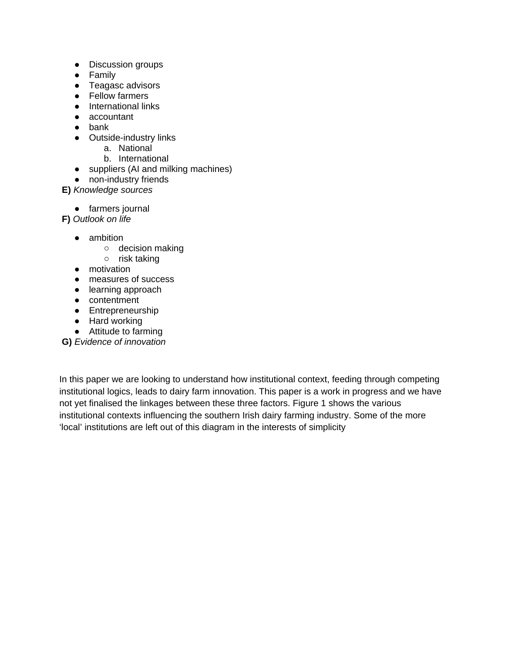- Discussion groups
- Family
- Teagasc advisors
- Fellow farmers
- International links
- accountant
- bank
- Outside-industry links
	- a. National
	- b. International
- suppliers (AI and milking machines)
- non-industry friends

**E)** *Knowledge sources*

● farmers journal

**F)** *Outlook on life*

- ambition
	- decision making
	- risk taking
- motivation
- measures of success
- learning approach
- contentment
- Entrepreneurship
- Hard working
- Attitude to farming

**G)** *Evidence of innovation*

In this paper we are looking to understand how institutional context, feeding through competing institutional logics, leads to dairy farm innovation. This paper is a work in progress and we have not yet finalised the linkages between these three factors. Figure 1 shows the various institutional contexts influencing the southern Irish dairy farming industry. Some of the more 'local' institutions are left out of this diagram in the interests of simplicity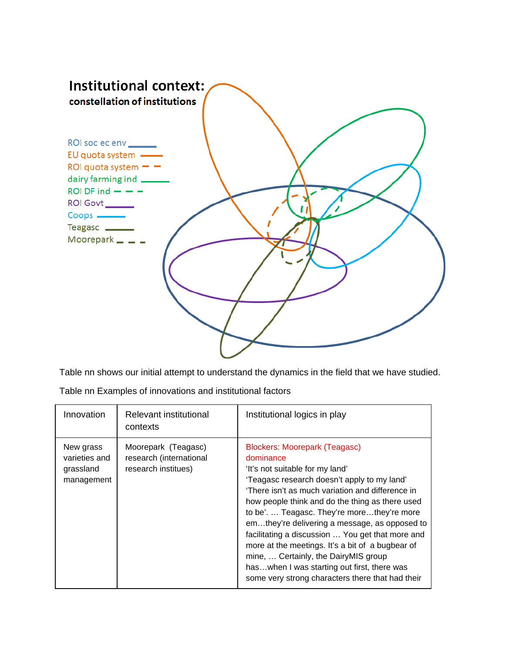

Table nn shows our initial attempt to understand the dynamics in the field that we have studied.

| Table nn Examples of innovations and institutional factors |  |
|------------------------------------------------------------|--|
|------------------------------------------------------------|--|

| Innovation                                            | Relevant institutional<br>contexts                                    | Institutional logics in play                                                                                                                                                                                                                                                                                                                                                                                                                                                                                                                                                               |
|-------------------------------------------------------|-----------------------------------------------------------------------|--------------------------------------------------------------------------------------------------------------------------------------------------------------------------------------------------------------------------------------------------------------------------------------------------------------------------------------------------------------------------------------------------------------------------------------------------------------------------------------------------------------------------------------------------------------------------------------------|
| New grass<br>varieties and<br>grassland<br>management | Moorepark (Teagasc)<br>research (international<br>research institues) | <b>Blockers: Moorepark (Teagasc)</b><br>dominance<br>'It's not suitable for my land'<br>'Teagasc research doesn't apply to my land'<br>'There isn't as much variation and difference in<br>how people think and do the thing as there used<br>to be' Teagasc. They're morethey're more<br>emthey're delivering a message, as opposed to<br>facilitating a discussion  You get that more and<br>more at the meetings. It's a bit of a bugbear of<br>mine,  Certainly, the DairyMIS group<br>haswhen I was starting out first, there was<br>some very strong characters there that had their |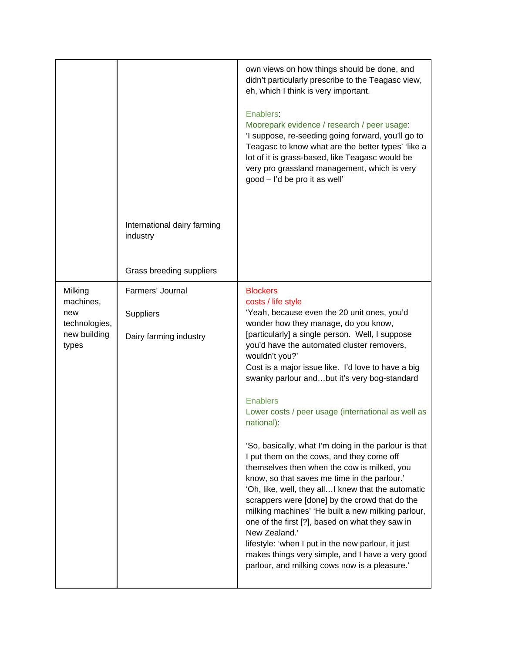|                                                                       |                                                                | own views on how things should be done, and<br>didn't particularly prescribe to the Teagasc view,<br>eh, which I think is very important.                                                                                                                                                                                                                                                                                                                                                                                                                                                                                                                                                                                                                                                                                                                                                                                                                                                                                                      |
|-----------------------------------------------------------------------|----------------------------------------------------------------|------------------------------------------------------------------------------------------------------------------------------------------------------------------------------------------------------------------------------------------------------------------------------------------------------------------------------------------------------------------------------------------------------------------------------------------------------------------------------------------------------------------------------------------------------------------------------------------------------------------------------------------------------------------------------------------------------------------------------------------------------------------------------------------------------------------------------------------------------------------------------------------------------------------------------------------------------------------------------------------------------------------------------------------------|
|                                                                       |                                                                | Enablers:<br>Moorepark evidence / research / peer usage:<br>'I suppose, re-seeding going forward, you'll go to<br>Teagasc to know what are the better types' 'like a<br>lot of it is grass-based, like Teagasc would be<br>very pro grassland management, which is very<br>good - I'd be pro it as well'                                                                                                                                                                                                                                                                                                                                                                                                                                                                                                                                                                                                                                                                                                                                       |
|                                                                       | International dairy farming<br>industry                        |                                                                                                                                                                                                                                                                                                                                                                                                                                                                                                                                                                                                                                                                                                                                                                                                                                                                                                                                                                                                                                                |
|                                                                       | Grass breeding suppliers                                       |                                                                                                                                                                                                                                                                                                                                                                                                                                                                                                                                                                                                                                                                                                                                                                                                                                                                                                                                                                                                                                                |
| Milking<br>machines,<br>new<br>technologies,<br>new building<br>types | Farmers' Journal<br><b>Suppliers</b><br>Dairy farming industry | <b>Blockers</b><br>costs / life style<br>'Yeah, because even the 20 unit ones, you'd<br>wonder how they manage, do you know,<br>[particularly] a single person. Well, I suppose<br>you'd have the automated cluster removers,<br>wouldn't you?'<br>Cost is a major issue like. I'd love to have a big<br>swanky parlour andbut it's very bog-standard<br><b>Enablers</b><br>Lower costs / peer usage (international as well as<br>national):<br>'So, basically, what I'm doing in the parlour is that<br>I put them on the cows, and they come off<br>themselves then when the cow is milked, you<br>know, so that saves me time in the parlour.'<br>'Oh, like, well, they allI knew that the automatic<br>scrappers were [done] by the crowd that do the<br>milking machines' 'He built a new milking parlour,<br>one of the first [?], based on what they saw in<br>New Zealand.'<br>lifestyle: 'when I put in the new parlour, it just<br>makes things very simple, and I have a very good<br>parlour, and milking cows now is a pleasure.' |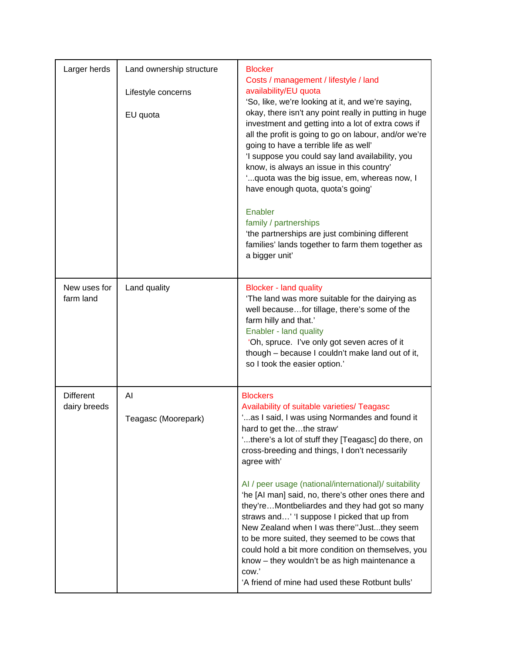| Larger herds                     | Land ownership structure<br>Lifestyle concerns<br>EU quota | <b>Blocker</b><br>Costs / management / lifestyle / land<br>availability/EU quota<br>'So, like, we're looking at it, and we're saying,<br>okay, there isn't any point really in putting in huge<br>investment and getting into a lot of extra cows if<br>all the profit is going to go on labour, and/or we're<br>going to have a terrible life as well'<br>'I suppose you could say land availability, you<br>know, is always an issue in this country'<br>" quota was the big issue, em, whereas now, I<br>have enough quota, quota's going'<br>Enabler<br>family / partnerships<br>'the partnerships are just combining different<br>families' lands together to farm them together as<br>a bigger unit' |
|----------------------------------|------------------------------------------------------------|------------------------------------------------------------------------------------------------------------------------------------------------------------------------------------------------------------------------------------------------------------------------------------------------------------------------------------------------------------------------------------------------------------------------------------------------------------------------------------------------------------------------------------------------------------------------------------------------------------------------------------------------------------------------------------------------------------|
| New uses for<br>farm land        | Land quality                                               | <b>Blocker - land quality</b><br>'The land was more suitable for the dairying as<br>well becausefor tillage, there's some of the<br>farm hilly and that.'<br>Enabler - land quality<br>'Oh, spruce. I've only got seven acres of it<br>though - because I couldn't make land out of it,<br>so I took the easier option.'                                                                                                                                                                                                                                                                                                                                                                                   |
| <b>Different</b><br>dairy breeds | Al<br>Teagasc (Moorepark)                                  | <b>Blockers</b><br>Availability of suitable varieties/ Teagasc<br>'as I said, I was using Normandes and found it<br>hard to get thethe straw'<br>'there's a lot of stuff they [Teagasc] do there, on<br>cross-breeding and things, I don't necessarily<br>agree with'                                                                                                                                                                                                                                                                                                                                                                                                                                      |
|                                  |                                                            | Al / peer usage (national/international)/ suitability<br>'he [AI man] said, no, there's other ones there and<br>they'reMontbeliardes and they had got so many<br>straws and' 'I suppose I picked that up from<br>New Zealand when I was there"Justthey seem<br>to be more suited, they seemed to be cows that<br>could hold a bit more condition on themselves, you<br>know - they wouldn't be as high maintenance a<br>cow.'<br>'A friend of mine had used these Rotbunt bulls'                                                                                                                                                                                                                           |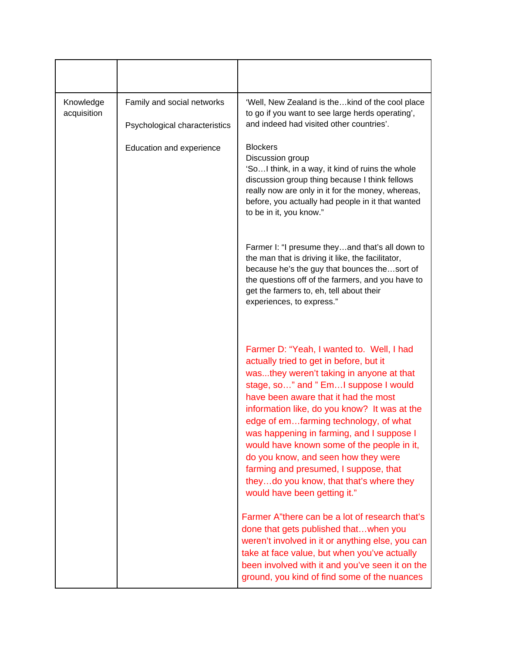| Knowledge<br>acquisition | Family and social networks<br>Psychological characteristics | 'Well, New Zealand is thekind of the cool place<br>to go if you want to see large herds operating',<br>and indeed had visited other countries'.                                                                                                                                                                                                                                                                                                                                                                                                                  |
|--------------------------|-------------------------------------------------------------|------------------------------------------------------------------------------------------------------------------------------------------------------------------------------------------------------------------------------------------------------------------------------------------------------------------------------------------------------------------------------------------------------------------------------------------------------------------------------------------------------------------------------------------------------------------|
|                          | Education and experience                                    | <b>Blockers</b><br>Discussion group<br>'SoI think, in a way, it kind of ruins the whole<br>discussion group thing because I think fellows<br>really now are only in it for the money, whereas,<br>before, you actually had people in it that wanted<br>to be in it, you know."                                                                                                                                                                                                                                                                                   |
|                          |                                                             | Farmer I: "I presume theyand that's all down to<br>the man that is driving it like, the facilitator,<br>because he's the guy that bounces thesort of<br>the questions off of the farmers, and you have to<br>get the farmers to, eh, tell about their<br>experiences, to express."                                                                                                                                                                                                                                                                               |
|                          |                                                             | Farmer D: "Yeah, I wanted to. Well, I had<br>actually tried to get in before, but it<br>wasthey weren't taking in anyone at that<br>stage, so" and " Em I suppose I would<br>have been aware that it had the most<br>information like, do you know? It was at the<br>edge of emfarming technology, of what<br>was happening in farming, and I suppose I<br>would have known some of the people in it,<br>do you know, and seen how they were<br>farming and presumed, I suppose, that<br>theydo you know, that that's where they<br>would have been getting it." |
|                          |                                                             | Farmer A"there can be a lot of research that's<br>done that gets published thatwhen you<br>weren't involved in it or anything else, you can<br>take at face value, but when you've actually<br>been involved with it and you've seen it on the<br>ground, you kind of find some of the nuances                                                                                                                                                                                                                                                                   |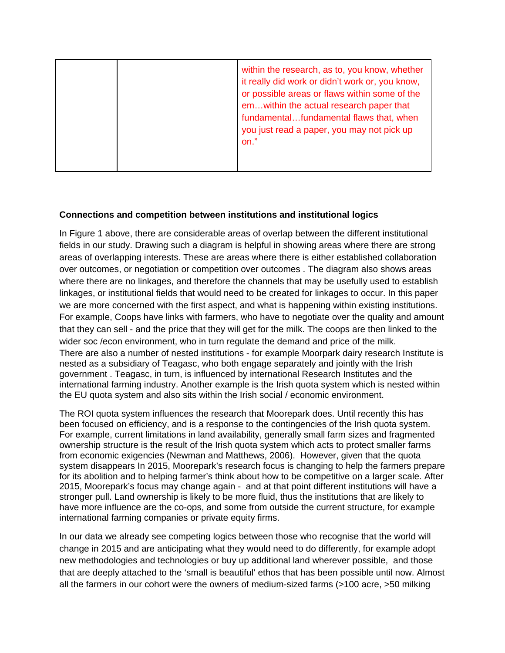|  | within the research, as to, you know, whether<br>it really did work or didn't work or, you know,<br>or possible areas or flaws within some of the<br>emwithin the actual research paper that<br>fundamentalfundamental flaws that, when<br>you just read a paper, you may not pick up<br>on." |
|--|-----------------------------------------------------------------------------------------------------------------------------------------------------------------------------------------------------------------------------------------------------------------------------------------------|
|  |                                                                                                                                                                                                                                                                                               |

## **Connections and competition between institutions and institutional logics**

In Figure 1 above, there are considerable areas of overlap between the different institutional fields in our study. Drawing such a diagram is helpful in showing areas where there are strong areas of overlapping interests. These are areas where there is either established collaboration over outcomes, or negotiation or competition over outcomes . The diagram also shows areas where there are no linkages, and therefore the channels that may be usefully used to establish linkages, or institutional fields that would need to be created for linkages to occur. In this paper we are more concerned with the first aspect, and what is happening within existing institutions. For example, Coops have links with farmers, who have to negotiate over the quality and amount that they can sell - and the price that they will get for the milk. The coops are then linked to the wider soc /econ environment, who in turn regulate the demand and price of the milk. There are also a number of nested institutions - for example Moorpark dairy research Institute is nested as a subsidiary of Teagasc, who both engage separately and jointly with the Irish government . Teagasc, in turn, is influenced by international Research Institutes and the international farming industry. Another example is the Irish quota system which is nested within the EU quota system and also sits within the Irish social / economic environment.

The ROI quota system influences the research that Moorepark does. Until recently this has been focused on efficiency, and is a response to the contingencies of the Irish quota system. For example, current limitations in land availability, generally small farm sizes and fragmented ownership structure is the result of the Irish quota system which acts to protect smaller farms from economic exigencies (Newman and Matthews, 2006). However, given that the quota system disappears In 2015, Moorepark's research focus is changing to help the farmers prepare for its abolition and to helping farmer's think about how to be competitive on a larger scale. After 2015, Moorepark's focus may change again - and at that point different institutions will have a stronger pull. Land ownership is likely to be more fluid, thus the institutions that are likely to have more influence are the co-ops, and some from outside the current structure, for example international farming companies or private equity firms.

In our data we already see competing logics between those who recognise that the world will change in 2015 and are anticipating what they would need to do differently, for example adopt new methodologies and technologies or buy up additional land wherever possible, and those that are deeply attached to the 'small is beautiful' ethos that has been possible until now. Almost all the farmers in our cohort were the owners of medium-sized farms (>100 acre, >50 milking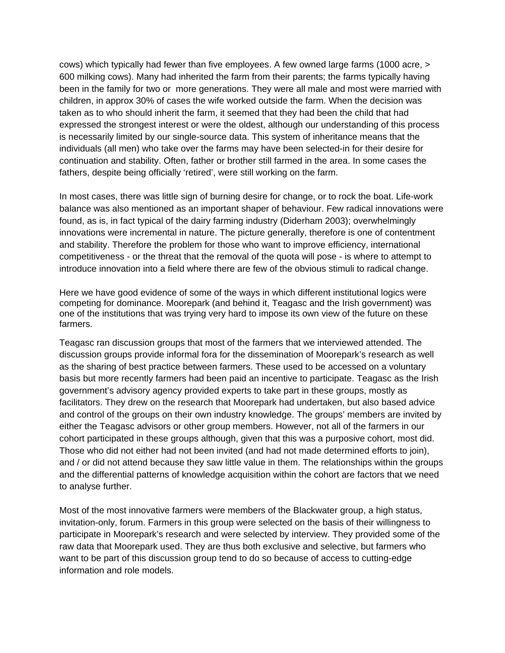cows) which typically had fewer than five employees. A few owned large farms (1000 acre, > 600 milking cows). Many had inherited the farm from their parents; the farms typically having been in the family for two or more generations. They were all male and most were married with children, in approx 30% of cases the wife worked outside the farm. When the decision was taken as to who should inherit the farm, it seemed that they had been the child that had expressed the strongest interest or were the oldest, although our understanding of this process is necessarily limited by our single-source data. This system of inheritance means that the individuals (all men) who take over the farms may have been selected-in for their desire for continuation and stability. Often, father or brother still farmed in the area. In some cases the fathers, despite being officially 'retired', were still working on the farm.

In most cases, there was little sign of burning desire for change, or to rock the boat. Life-work balance was also mentioned as an important shaper of behaviour. Few radical innovations were found, as is, in fact typical of the dairy farming industry (Diderham 2003); overwhelmingly innovations were incremental in nature. The picture generally, therefore is one of contentment and stability. Therefore the problem for those who want to improve efficiency, international competitiveness - or the threat that the removal of the quota will pose - is where to attempt to introduce innovation into a field where there are few of the obvious stimuli to radical change.

Here we have good evidence of some of the ways in which different institutional logics were competing for dominance. Moorepark (and behind it, Teagasc and the Irish government) was one of the institutions that was trying very hard to impose its own view of the future on these farmers.

Teagasc ran discussion groups that most of the farmers that we interviewed attended. The discussion groups provide informal fora for the dissemination of Moorepark's research as well as the sharing of best practice between farmers. These used to be accessed on a voluntary basis but more recently farmers had been paid an incentive to participate. Teagasc as the Irish government's advisory agency provided experts to take part in these groups, mostly as facilitators. They drew on the research that Moorepark had undertaken, but also based advice and control of the groups on their own industry knowledge. The groups' members are invited by either the Teagasc advisors or other group members. However, not all of the farmers in our cohort participated in these groups although, given that this was a purposive cohort, most did. Those who did not either had not been invited (and had not made determined efforts to join), and / or did not attend because they saw little value in them. The relationships within the groups and the differential patterns of knowledge acquisition within the cohort are factors that we need to analyse further.

Most of the most innovative farmers were members of the Blackwater group, a high status, invitation-only, forum. Farmers in this group were selected on the basis of their willingness to participate in Moorepark's research and were selected by interview. They provided some of the raw data that Moorepark used. They are thus both exclusive and selective, but farmers who want to be part of this discussion group tend to do so because of access to cutting-edge information and role models.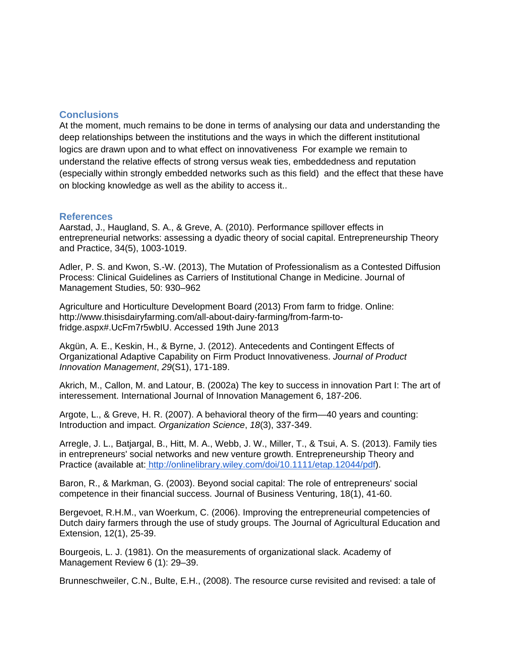### **Conclusions**

At the moment, much remains to be done in terms of analysing our data and understanding the deep relationships between the institutions and the ways in which the different institutional logics are drawn upon and to what effect on innovativeness For example we remain to understand the relative effects of strong versus weak ties, embeddedness and reputation (especially within strongly embedded networks such as this field) and the effect that these have on blocking knowledge as well as the ability to access it..

### **References**

Aarstad, J., Haugland, S. A., & Greve, A. (2010). Performance spillover effects in entrepreneurial networks: assessing a dyadic theory of social capital. Entrepreneurship Theory and Practice, 34(5), 1003-1019.

Adler, P. S. and Kwon, S.-W. (2013), The Mutation of Professionalism as a Contested Diffusion Process: Clinical Guidelines as Carriers of Institutional Change in Medicine. Journal of Management Studies, 50: 930–962

Agriculture and Horticulture Development Board (2013) From farm to fridge. Online: http://www.thisisdairyfarming.com/all-about-dairy-farming/from-farm-tofridge.aspx#.UcFm7r5wbIU. Accessed 19th June 2013

Akgün, A. E., Keskin, H., & Byrne, J. (2012). Antecedents and Contingent Effects of Organizational Adaptive Capability on Firm Product Innovativeness. Journal of Product Innovation Management, 29(S1), 171-189.

Akrich, M., Callon, M. and Latour, B. (2002a) The key to success in innovation Part I: The art of interessement. International Journal of Innovation Management 6, 187-206.

Argote, L., & Greve, H. R. (2007). A behavioral theory of the firm—40 years and counting: Introduction and impact. Organization Science, 18(3), 337-349.

Arregle, J. L., Batjargal, B., Hitt, M. A., Webb, J. W., Miller, T., & Tsui, A. S. (2013). Family ties in entrepreneurs' social networks and new venture growth. Entrepreneurship Theory and Practice (available at[: http://onlinelibrary.wiley.com/doi/10.1111/etap.12044/pdf](http://onlinelibrary.wiley.com/doi/10.1111/etap.12044/pdf)).

Baron, R., & Markman, G. (2003). Beyond social capital: The role of entrepreneurs' social competence in their financial success. Journal of Business Venturing, 18(1), 41-60.

Bergevoet, R.H.M., van Woerkum, C. (2006). Improving the entrepreneurial competencies of Dutch dairy farmers through the use of study groups. The Journal of Agricultural Education and Extension, 12(1), 25-39.

Bourgeois, L. J. (1981). On the measurements of organizational slack. Academy of Management Review 6 (1): 29–39.

Brunneschweiler, C.N., Bulte, E.H., (2008). The resource curse revisited and revised: a tale of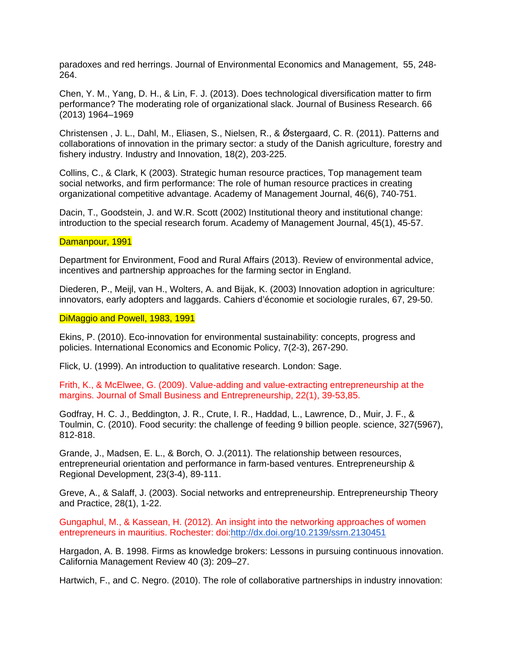paradoxes and red herrings. Journal of Environmental Economics and Management, 55, 248- 264.

Chen, Y. M., Yang, D. H., & Lin, F. J. (2013). Does technological diversification matter to firm performance? The moderating role of organizational slack. Journal of Business Research. 66 (2013) 1964–1969

Christensen , J. L., Dahl, M., Eliasen, S., Nielsen, R., & Ǿstergaard, C. R. (2011). Patterns and collaborations of innovation in the primary sector: a study of the Danish agriculture, forestry and fishery industry. Industry and Innovation, 18(2), 203-225.

Collins, C., & Clark, K (2003). Strategic human resource practices, Top management team social networks, and firm performance: The role of human resource practices in creating organizational competitive advantage. Academy of Management Journal, 46(6), 740-751.

Dacin, T., Goodstein, J. and W.R. Scott (2002) Institutional theory and institutional change: introduction to the special research forum. Academy of Management Journal, 45(1), 45-57.

#### Damanpour, 1991

Department for Environment, Food and Rural Affairs (2013). Review of environmental advice, incentives and partnership approaches for the farming sector in England.

Diederen, P., Meijl, van H., Wolters, A. and Bijak, K. (2003) Innovation adoption in agriculture: innovators, early adopters and laggards. Cahiers d'économie et sociologie rurales, 67, 29-50.

#### DiMaggio and Powell, 1983, 1991

Ekins, P. (2010). Eco-innovation for environmental sustainability: concepts, progress and policies. International Economics and Economic Policy, 7(2-3), 267-290.

Flick, U. (1999). An introduction to qualitative research. London: Sage.

Frith, K., & McElwee, G. (2009). Value-adding and value-extracting entrepreneurship at the margins. Journal of Small Business and Entrepreneurship, 22(1), 39-53,85.

Godfray, H. C. J., Beddington, J. R., Crute, I. R., Haddad, L., Lawrence, D., Muir, J. F., & Toulmin, C. (2010). Food security: the challenge of feeding 9 billion people. science, 327(5967), 812-818.

Grande, J., Madsen, E. L., & Borch, O. J.(2011). The relationship between resources, entrepreneurial orientation and performance in farm-based ventures. Entrepreneurship & Regional Development, 23(3-4), 89-111.

Greve, A., & Salaff, J. (2003). Social networks and entrepreneurship. Entrepreneurship Theory and Practice, 28(1), 1-22.

Gungaphul, M., & Kassean, H. (2012). An insight into the networking approaches of women entrepreneurs in mauritius. Rochester: doi:<http://dx.doi.org/10.2139/ssrn.2130451>

Hargadon, A. B. 1998. Firms as knowledge brokers: Lessons in pursuing continuous innovation. California Management Review 40 (3): 209–27.

Hartwich, F., and C. Negro. (2010). The role of collaborative partnerships in industry innovation: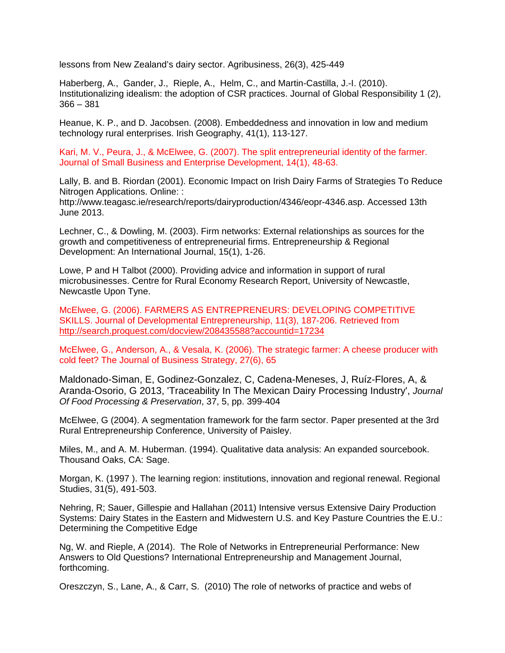lessons from New Zealand's dairy sector. Agribusiness, 26(3), 425-449

Haberberg, A., Gander, J., Rieple, A., Helm, C., and Martin-Castilla, J.-I. (2010). Institutionalizing idealism: the adoption of CSR practices. Journal of Global Responsibility 1 (2),  $366 - 381$ 

Heanue, K. P., and D. Jacobsen. (2008). Embeddedness and innovation in low and medium technology rural enterprises. Irish Geography, 41(1), 113-127.

Kari, M. V., Peura, J., & McElwee, G. (2007). The split entrepreneurial identity of the farmer. Journal of Small Business and Enterprise Development, 14(1), 48-63.

Lally, B. and B. Riordan (2001). Economic Impact on Irish Dairy Farms of Strategies To Reduce Nitrogen Applications. Online: :

http://www.teagasc.ie/research/reports/dairyproduction/4346/eopr-4346.asp. Accessed 13th June 2013.

Lechner, C., & Dowling, M. (2003). Firm networks: External relationships as sources for the growth and competitiveness of entrepreneurial firms. Entrepreneurship & Regional Development: An International Journal, 15(1), 1-26.

Lowe, P and H Talbot (2000). Providing advice and information in support of rural microbusinesses. Centre for Rural Economy Research Report, University of Newcastle, Newcastle Upon Tyne.

McElwee, G. (2006). FARMERS AS ENTREPRENEURS: DEVELOPING COMPETITIVE SKILLS. Journal of Developmental Entrepreneurship, 11(3), 187-206. Retrieved fro[m](http://search.proquest.com/docview/208435588?accountid=17234) <http://search.proquest.com/docview/208435588?accountid=17234>

McElwee, G., Anderson, A., & Vesala, K. (2006). The strategic farmer: A cheese producer with cold feet? The Journal of Business Strategy, 27(6), 65

Maldonado-Siman, E, Godinez-Gonzalez, C, Cadena-Meneses, J, Ruíz-Flores, A, & Aranda-Osorio, G 2013, 'Traceability In The Mexican Dairy Processing Industry', Journal Of Food Processing & Preservation, 37, 5, pp. 399-404

McElwee, G (2004). A segmentation framework for the farm sector. Paper presented at the 3rd Rural Entrepreneurship Conference, University of Paisley.

Miles, M., and A. M. Huberman. (1994). Qualitative data analysis: An expanded sourcebook. Thousand Oaks, CA: Sage.

Morgan, K. (1997 ). The learning region: institutions, innovation and regional renewal. Regional Studies, 31(5), 491-503.

Nehring, R; Sauer, Gillespie and Hallahan (2011) Intensive versus Extensive Dairy Production Systems: Dairy States in the Eastern and Midwestern U.S. and Key Pasture Countries the E.U.: Determining the Competitive Edge

Ng, W. and Rieple, A (2014). The Role of Networks in Entrepreneurial Performance: New Answers to Old Questions? International Entrepreneurship and Management Journal, forthcoming.

Oreszczyn, S., Lane, A., & Carr, S. (2010) The role of networks of practice and webs of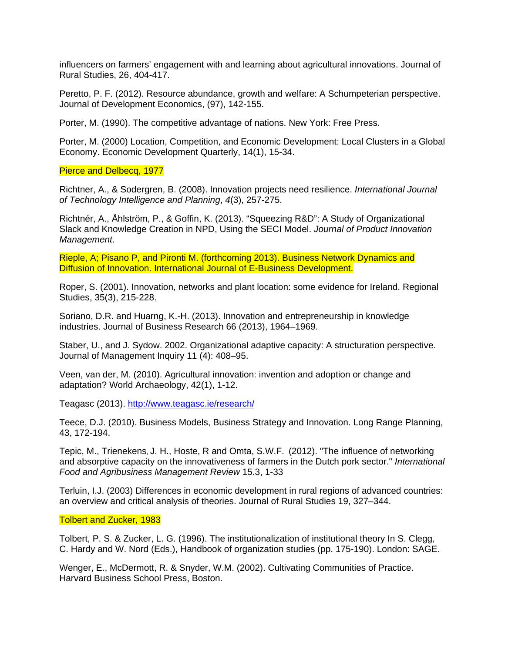influencers on farmers' engagement with and learning about agricultural innovations. Journal of Rural Studies, 26, 404-417.

Peretto, P. F. (2012). Resource abundance, growth and welfare: A Schumpeterian perspective. Journal of Development Economics, (97), 142-155.

Porter, M. (1990). The competitive advantage of nations. New York: Free Press.

Porter, M. (2000) Location, Competition, and Economic Development: Local Clusters in a Global Economy. Economic Development Quarterly, 14(1), 15-34.

Pierce and Delbecq, 1977

Richtner, A., & Sodergren, B. (2008). Innovation projects need resilience. International Journal of Technology Intelligence and Planning, 4(3), 257-275.

Richtnér, A., Åhlström, P., & Goffin, K. (2013). "Squeezing R&D": A Study of Organizational Slack and Knowledge Creation in NPD, Using the SECI Model. Journal of Product Innovation Management.

Rieple, A; Pisano P, and Pironti M. (forthcoming 2013). Business Network Dynamics and Diffusion of Innovation. International Journal of E-Business Development.

Roper, S. (2001). Innovation, networks and plant location: some evidence for Ireland. Regional Studies, 35(3), 215-228.

Soriano, D.R. and Huarng, K.-H. (2013). Innovation and entrepreneurship in knowledge industries. Journal of Business Research 66 (2013), 1964–1969.

Staber, U., and J. Sydow. 2002. Organizational adaptive capacity: A structuration perspective. Journal of Management Inquiry 11 (4): 408–95.

Veen, van der, M. (2010). Agricultural innovation: invention and adoption or change and adaptation? World Archaeology, 42(1), 1-12.

Teagasc (2013). <http://www.teagasc.ie/research/>

Teece, D.J. (2010). Business Models, Business Strategy and Innovation. Long Range Planning, 43, 172-194.

Tepic, M., Trienekens, J. H., Hoste, R and Omta, S.W.F. (2012). "The influence of networking and absorptive capacity on the innovativeness of farmers in the Dutch pork sector." International Food and Agribusiness Management Review 15.3, 1-33

Terluin, I.J. (2003) Differences in economic development in rural regions of advanced countries: an overview and critical analysis of theories. Journal of Rural Studies 19, 327–344.

#### Tolbert and Zucker, 1983

Tolbert, P. S. & Zucker, L. G. (1996). The institutionalization of institutional theory In S. Clegg, C. Hardy and W. Nord (Eds.), Handbook of organization studies (pp. 175-190). London: SAGE.

Wenger, E., McDermott, R. & Snyder, W.M. (2002). Cultivating Communities of Practice. Harvard Business School Press, Boston.